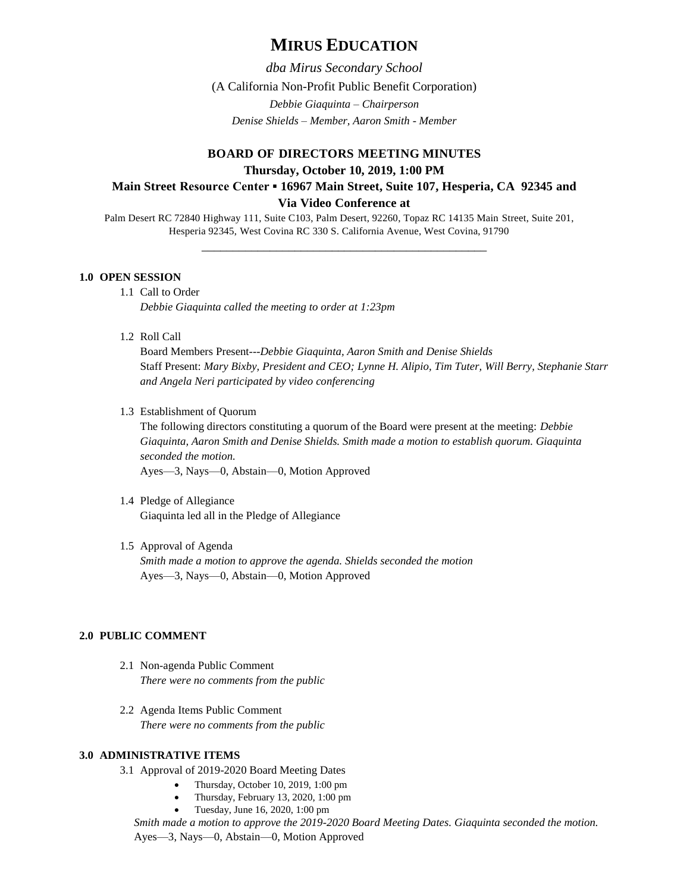# **MIRUS EDUCATION**

*dba Mirus Secondary School* (A California Non-Profit Public Benefit Corporation) *Debbie Giaquinta – Chairperson Denise Shields – Member, Aaron Smith - Member*

## **BOARD OF DIRECTORS MEETING MINUTES Thursday, October 10, 2019, 1:00 PM Main Street Resource Center ▪ 16967 Main Street, Suite 107, Hesperia, CA 92345 and Via Video Conference at**

Palm Desert RC 72840 Highway 111, Suite C103, Palm Desert, 92260, Topaz RC 14135 Main Street, Suite 201, Hesperia 92345, West Covina RC 330 S. California Avenue, West Covina, 91790

\_\_\_\_\_\_\_\_\_\_\_\_\_\_\_\_\_\_\_\_\_\_\_\_\_\_\_\_\_\_\_\_\_\_\_\_\_\_\_\_\_\_\_\_\_\_

### **1.0 OPEN SESSION**

- 1.1 Call to Order *Debbie Giaquinta called the meeting to order at 1:23pm*
- 1.2 Roll Call

Board Members Present---*Debbie Giaquinta, Aaron Smith and Denise Shields* Staff Present: *Mary Bixby, President and CEO; Lynne H. Alipio, Tim Tuter, Will Berry, Stephanie Starr and Angela Neri participated by video conferencing*

1.3 Establishment of Quorum

The following directors constituting a quorum of the Board were present at the meeting: *Debbie Giaquinta, Aaron Smith and Denise Shields. Smith made a motion to establish quorum. Giaquinta seconded the motion.* 

Ayes—3, Nays—0, Abstain—0, Motion Approved

- 1.4 Pledge of Allegiance Giaquinta led all in the Pledge of Allegiance
- 1.5 Approval of Agenda *Smith made a motion to approve the agenda. Shields seconded the motion* Ayes—3, Nays—0, Abstain—0, Motion Approved

### **2.0 PUBLIC COMMENT**

- 2.1 Non-agenda Public Comment *There were no comments from the public*
- 2.2 Agenda Items Public Comment *There were no comments from the public*

## **3.0 ADMINISTRATIVE ITEMS**

- 3.1 Approval of 2019-2020 Board Meeting Dates
	- Thursday, October 10, 2019, 1:00 pm
		- Thursday, February 13, 2020, 1:00 pm
	- Tuesday, June 16, 2020, 1:00 pm

*Smith made a motion to approve the 2019-2020 Board Meeting Dates. Giaquinta seconded the motion.*  Ayes—3, Nays—0, Abstain—0, Motion Approved